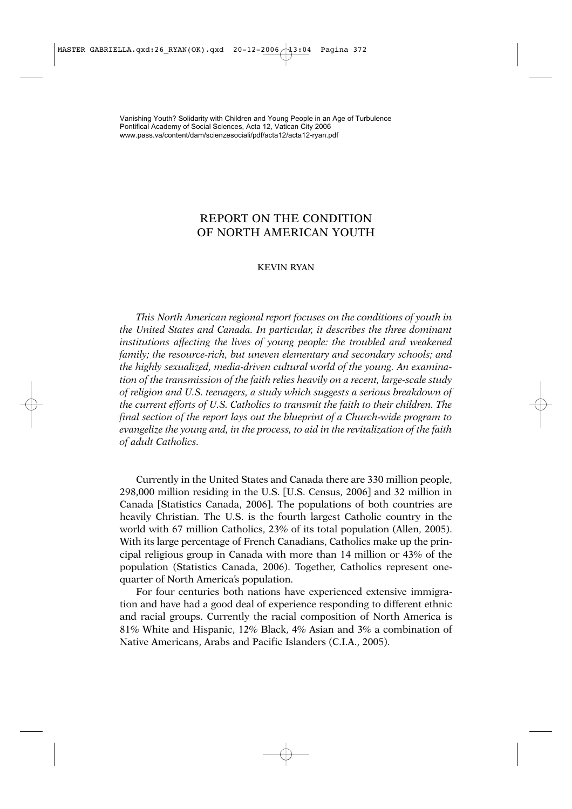# REPORT ON THE CONDITION OF NORTH AMERICAN YOUTH

### KEVIN RYAN

*This North American regional report focuses on the conditions of youth in the United States and Canada. In particular, it describes the three dominant institutions affecting the lives of young people: the troubled and weakened family; the resource-rich, but uneven elementary and secondary schools; and the highly sexualized, media-driven cultural world of the young. An examination of the transmission of the faith relies heavily on a recent, large-scale study of religion and U.S. teenagers, a study which suggests a serious breakdown of the current efforts of U.S. Catholics to transmit the faith to their children. The final section of the report lays out the blueprint of a Church-wide program to evangelize the young and, in the process, to aid in the revitalization of the faith of adult Catholics.* 

Currently in the United States and Canada there are 330 million people, 298,000 million residing in the U.S. [U.S. Census, 2006] and 32 million in Canada [Statistics Canada, 2006]. The populations of both countries are heavily Christian. The U.S. is the fourth largest Catholic country in the world with 67 million Catholics, 23% of its total population (Allen, 2005). With its large percentage of French Canadians, Catholics make up the principal religious group in Canada with more than 14 million or 43% of the population (Statistics Canada, 2006). Together, Catholics represent onequarter of North America's population.

For four centuries both nations have experienced extensive immigration and have had a good deal of experience responding to different ethnic and racial groups. Currently the racial composition of North America is 81% White and Hispanic, 12% Black, 4% Asian and 3% a combination of Native Americans, Arabs and Pacific Islanders (C.I.A., 2005).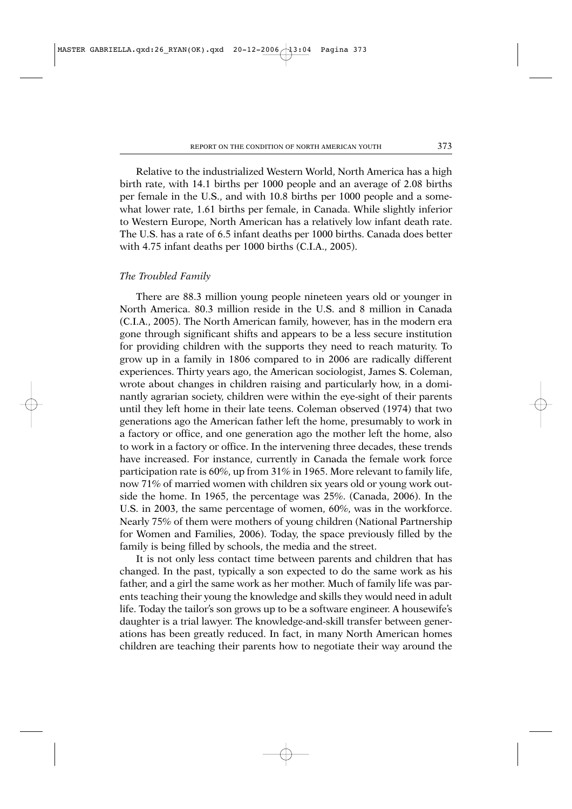Relative to the industrialized Western World, North America has a high birth rate, with 14.1 births per 1000 people and an average of 2.08 births per female in the U.S., and with 10.8 births per 1000 people and a somewhat lower rate, 1.61 births per female, in Canada. While slightly inferior to Western Europe, North American has a relatively low infant death rate. The U.S. has a rate of 6.5 infant deaths per 1000 births. Canada does better with 4.75 infant deaths per 1000 births (C.I.A., 2005).

#### *The Troubled Family*

There are 88.3 million young people nineteen years old or younger in North America. 80.3 million reside in the U.S. and 8 million in Canada (C.I.A., 2005). The North American family, however, has in the modern era gone through significant shifts and appears to be a less secure institution for providing children with the supports they need to reach maturity. To grow up in a family in 1806 compared to in 2006 are radically different experiences. Thirty years ago, the American sociologist, James S. Coleman, wrote about changes in children raising and particularly how, in a dominantly agrarian society, children were within the eye-sight of their parents until they left home in their late teens. Coleman observed (1974) that two generations ago the American father left the home, presumably to work in a factory or office, and one generation ago the mother left the home, also to work in a factory or office. In the intervening three decades, these trends have increased. For instance, currently in Canada the female work force participation rate is 60%, up from 31% in 1965. More relevant to family life, now 71% of married women with children six years old or young work outside the home. In 1965, the percentage was 25%. (Canada, 2006). In the U.S. in 2003, the same percentage of women, 60%, was in the workforce. Nearly 75% of them were mothers of young children (National Partnership for Women and Families, 2006). Today, the space previously filled by the family is being filled by schools, the media and the street.

It is not only less contact time between parents and children that has changed. In the past, typically a son expected to do the same work as his father, and a girl the same work as her mother. Much of family life was parents teaching their young the knowledge and skills they would need in adult life. Today the tailor's son grows up to be a software engineer. A housewife's daughter is a trial lawyer. The knowledge-and-skill transfer between generations has been greatly reduced. In fact, in many North American homes children are teaching their parents how to negotiate their way around the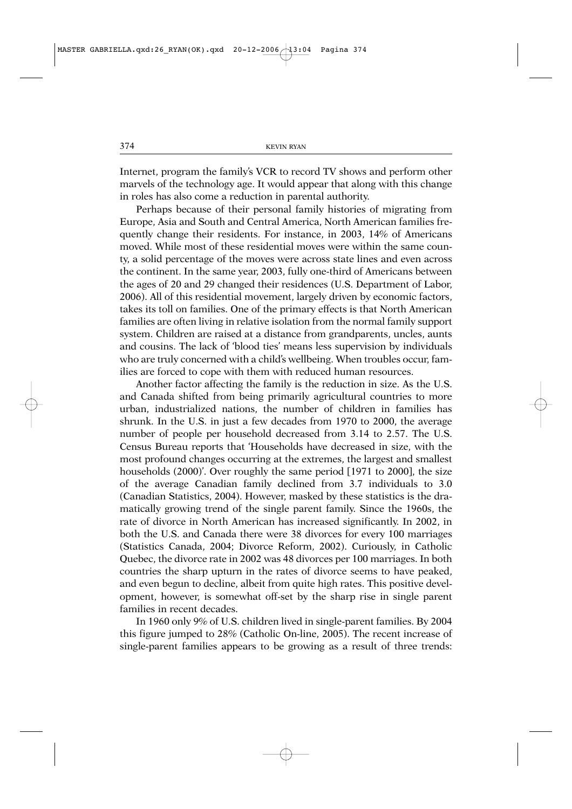Internet, program the family's VCR to record TV shows and perform other marvels of the technology age. It would appear that along with this change in roles has also come a reduction in parental authority.

Perhaps because of their personal family histories of migrating from Europe, Asia and South and Central America, North American families frequently change their residents. For instance, in 2003, 14% of Americans moved. While most of these residential moves were within the same county, a solid percentage of the moves were across state lines and even across the continent. In the same year, 2003, fully one-third of Americans between the ages of 20 and 29 changed their residences (U.S. Department of Labor, 2006). All of this residential movement, largely driven by economic factors, takes its toll on families. One of the primary effects is that North American families are often living in relative isolation from the normal family support system. Children are raised at a distance from grandparents, uncles, aunts and cousins. The lack of 'blood ties' means less supervision by individuals who are truly concerned with a child's wellbeing. When troubles occur, families are forced to cope with them with reduced human resources.

Another factor affecting the family is the reduction in size. As the U.S. and Canada shifted from being primarily agricultural countries to more urban, industrialized nations, the number of children in families has shrunk. In the U.S. in just a few decades from 1970 to 2000, the average number of people per household decreased from 3.14 to 2.57. The U.S. Census Bureau reports that 'Households have decreased in size, with the most profound changes occurring at the extremes, the largest and smallest households (2000)'. Over roughly the same period [1971 to 2000], the size of the average Canadian family declined from 3.7 individuals to 3.0 (Canadian Statistics, 2004). However, masked by these statistics is the dramatically growing trend of the single parent family. Since the 1960s, the rate of divorce in North American has increased significantly. In 2002, in both the U.S. and Canada there were 38 divorces for every 100 marriages (Statistics Canada, 2004; Divorce Reform, 2002). Curiously, in Catholic Quebec, the divorce rate in 2002 was 48 divorces per 100 marriages. In both countries the sharp upturn in the rates of divorce seems to have peaked, and even begun to decline, albeit from quite high rates. This positive development, however, is somewhat off-set by the sharp rise in single parent families in recent decades.

In 1960 only 9% of U.S. children lived in single-parent families. By 2004 this figure jumped to 28% (Catholic On-line, 2005). The recent increase of single-parent families appears to be growing as a result of three trends: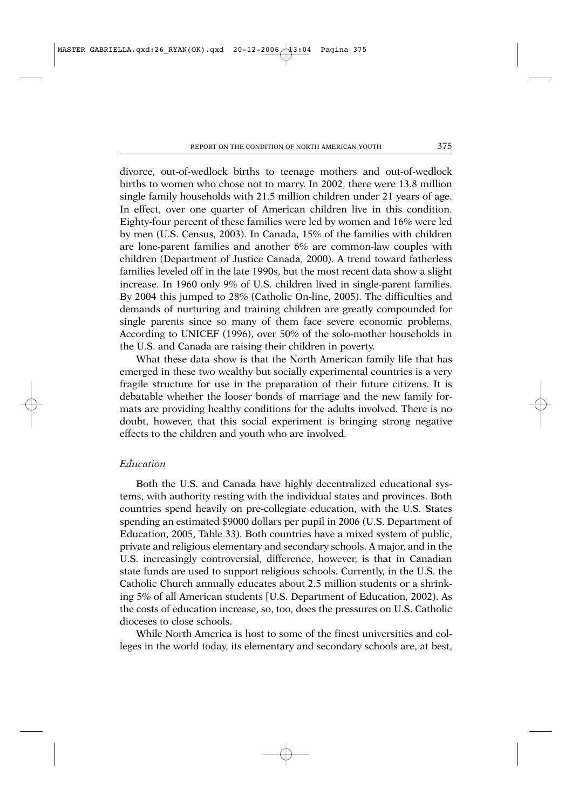divorce, out-of-wedlock births to teenage mothers and out-of-wedlock births to women who chose not to marry. In 2002, there were 13.8 million single family households with 21.5 million children under 21 years of age. In effect, over one quarter of American children live in this condition. Eighty-four percent of these families were led by women and 16% were led by men (U.S. Census, 2003). In Canada, 15% of the families with children are lone-parent families and another 6% are common-law couples with children (Department of Justice Canada, 2000). A trend toward fatherless families leveled off in the late 1990s, but the most recent data show a slight increase. In 1960 only 9% of U.S. children lived in single-parent families. By 2004 this jumped to 28% (Catholic On-line, 2005). The difficulties and demands of nurturing and training children are greatly compounded for single parents since so many of them face severe economic problems. According to UNICEF (1996), over 50% of the solo-mother households in the U.S. and Canada are raising their children in poverty.

What these data show is that the North American family life that has emerged in these two wealthy but socially experimental countries is a very fragile structure for use in the preparation of their future citizens. It is debatable whether the looser bonds of marriage and the new family formats are providing healthy conditions for the adults involved. There is no doubt, however, that this social experiment is bringing strong negative effects to the children and youth who are involved.

# *Education*

Both the U.S. and Canada have highly decentralized educational systems, with authority resting with the individual states and provinces. Both countries spend heavily on pre-collegiate education, with the U.S. States spending an estimated \$9000 dollars per pupil in 2006 (U.S. Department of Education, 2005, Table 33). Both countries have a mixed system of public, private and religious elementary and secondary schools. A major, and in the U.S. increasingly controversial, difference, however, is that in Canadian state funds are used to support religious schools. Currently, in the U.S. the Catholic Church annually educates about 2.5 million students or a shrinking 5% of all American students [U.S. Department of Education, 2002). As the costs of education increase, so, too, does the pressures on U.S. Catholic dioceses to close schools.

While North America is host to some of the finest universities and colleges in the world today, its elementary and secondary schools are, at best,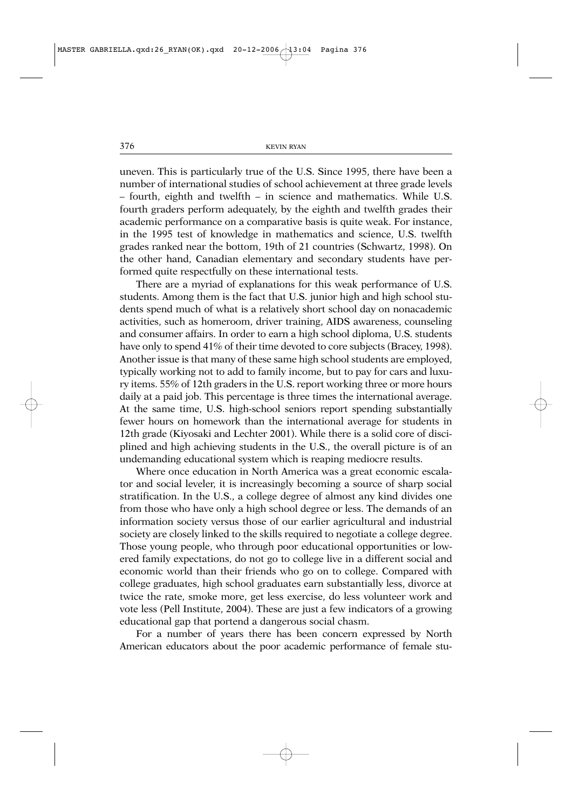uneven. This is particularly true of the U.S. Since 1995, there have been a number of international studies of school achievement at three grade levels – fourth, eighth and twelfth – in science and mathematics. While U.S. fourth graders perform adequately, by the eighth and twelfth grades their academic performance on a comparative basis is quite weak. For instance, in the 1995 test of knowledge in mathematics and science, U.S. twelfth grades ranked near the bottom, 19th of 21 countries (Schwartz, 1998). On the other hand, Canadian elementary and secondary students have performed quite respectfully on these international tests.

There are a myriad of explanations for this weak performance of U.S. students. Among them is the fact that U.S. junior high and high school students spend much of what is a relatively short school day on nonacademic activities, such as homeroom, driver training, AIDS awareness, counseling and consumer affairs. In order to earn a high school diploma, U.S. students have only to spend 41% of their time devoted to core subjects (Bracey, 1998). Another issue is that many of these same high school students are employed, typically working not to add to family income, but to pay for cars and luxury items. 55% of 12th graders in the U.S. report working three or more hours daily at a paid job. This percentage is three times the international average. At the same time, U.S. high-school seniors report spending substantially fewer hours on homework than the international average for students in 12th grade (Kiyosaki and Lechter 2001). While there is a solid core of disciplined and high achieving students in the U.S., the overall picture is of an undemanding educational system which is reaping mediocre results.

Where once education in North America was a great economic escalator and social leveler, it is increasingly becoming a source of sharp social stratification. In the U.S., a college degree of almost any kind divides one from those who have only a high school degree or less. The demands of an information society versus those of our earlier agricultural and industrial society are closely linked to the skills required to negotiate a college degree. Those young people, who through poor educational opportunities or lowered family expectations, do not go to college live in a different social and economic world than their friends who go on to college. Compared with college graduates, high school graduates earn substantially less, divorce at twice the rate, smoke more, get less exercise, do less volunteer work and vote less (Pell Institute, 2004). These are just a few indicators of a growing educational gap that portend a dangerous social chasm.

For a number of years there has been concern expressed by North American educators about the poor academic performance of female stu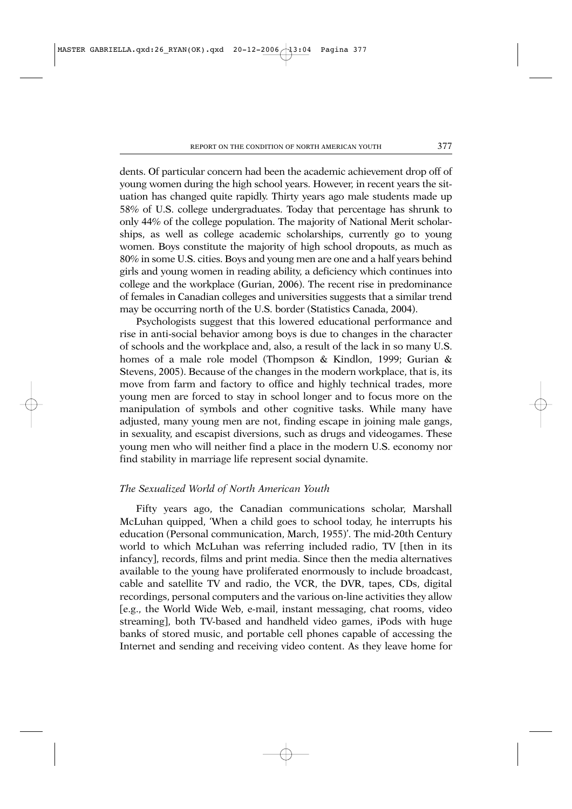dents. Of particular concern had been the academic achievement drop off of young women during the high school years. However, in recent years the situation has changed quite rapidly. Thirty years ago male students made up 58% of U.S. college undergraduates. Today that percentage has shrunk to only 44% of the college population. The majority of National Merit scholarships, as well as college academic scholarships, currently go to young women. Boys constitute the majority of high school dropouts, as much as 80% in some U.S. cities. Boys and young men are one and a half years behind girls and young women in reading ability, a deficiency which continues into college and the workplace (Gurian, 2006). The recent rise in predominance of females in Canadian colleges and universities suggests that a similar trend may be occurring north of the U.S. border (Statistics Canada, 2004).

Psychologists suggest that this lowered educational performance and rise in anti-social behavior among boys is due to changes in the character of schools and the workplace and, also, a result of the lack in so many U.S. homes of a male role model (Thompson & Kindlon, 1999; Gurian & Stevens, 2005). Because of the changes in the modern workplace, that is, its move from farm and factory to office and highly technical trades, more young men are forced to stay in school longer and to focus more on the manipulation of symbols and other cognitive tasks. While many have adjusted, many young men are not, finding escape in joining male gangs, in sexuality, and escapist diversions, such as drugs and videogames. These young men who will neither find a place in the modern U.S. economy nor find stability in marriage life represent social dynamite.

# *The Sexualized World of North American Youth*

Fifty years ago, the Canadian communications scholar, Marshall McLuhan quipped, 'When a child goes to school today, he interrupts his education (Personal communication, March, 1955)'. The mid-20th Century world to which McLuhan was referring included radio, TV [then in its infancy], records, films and print media. Since then the media alternatives available to the young have proliferated enormously to include broadcast, cable and satellite TV and radio, the VCR, the DVR, tapes, CDs, digital recordings, personal computers and the various on-line activities they allow [e.g., the World Wide Web, e-mail, instant messaging, chat rooms, video streaming], both TV-based and handheld video games, iPods with huge banks of stored music, and portable cell phones capable of accessing the Internet and sending and receiving video content. As they leave home for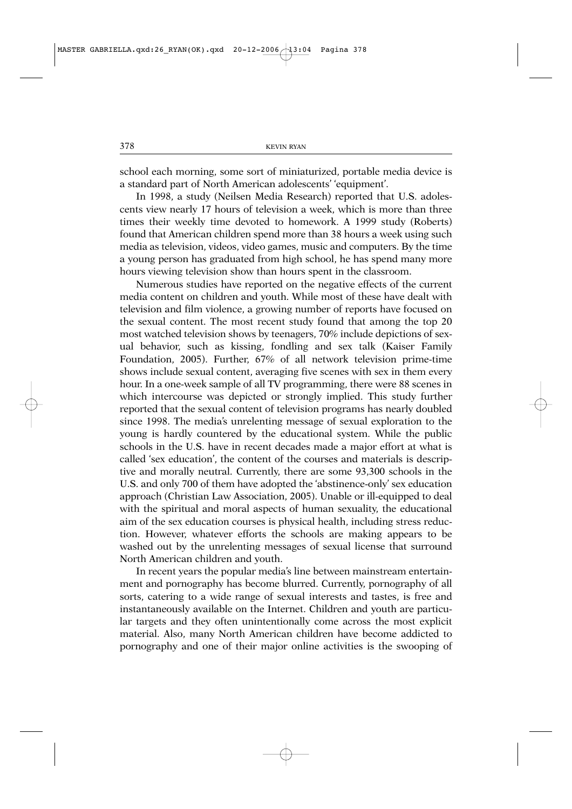school each morning, some sort of miniaturized, portable media device is a standard part of North American adolescents' 'equipment'.

In 1998, a study (Neilsen Media Research) reported that U.S. adolescents view nearly 17 hours of television a week, which is more than three times their weekly time devoted to homework. A 1999 study (Roberts) found that American children spend more than 38 hours a week using such media as television, videos, video games, music and computers. By the time a young person has graduated from high school, he has spend many more hours viewing television show than hours spent in the classroom.

Numerous studies have reported on the negative effects of the current media content on children and youth. While most of these have dealt with television and film violence, a growing number of reports have focused on the sexual content. The most recent study found that among the top 20 most watched television shows by teenagers, 70% include depictions of sexual behavior, such as kissing, fondling and sex talk (Kaiser Family Foundation, 2005). Further, 67% of all network television prime-time shows include sexual content, averaging five scenes with sex in them every hour. In a one-week sample of all TV programming, there were 88 scenes in which intercourse was depicted or strongly implied. This study further reported that the sexual content of television programs has nearly doubled since 1998. The media's unrelenting message of sexual exploration to the young is hardly countered by the educational system. While the public schools in the U.S. have in recent decades made a major effort at what is called 'sex education', the content of the courses and materials is descriptive and morally neutral. Currently, there are some 93,300 schools in the U.S. and only 700 of them have adopted the 'abstinence-only' sex education approach (Christian Law Association, 2005). Unable or ill-equipped to deal with the spiritual and moral aspects of human sexuality, the educational aim of the sex education courses is physical health, including stress reduction. However, whatever efforts the schools are making appears to be washed out by the unrelenting messages of sexual license that surround North American children and youth.

In recent years the popular media's line between mainstream entertainment and pornography has become blurred. Currently, pornography of all sorts, catering to a wide range of sexual interests and tastes, is free and instantaneously available on the Internet. Children and youth are particular targets and they often unintentionally come across the most explicit material. Also, many North American children have become addicted to pornography and one of their major online activities is the swooping of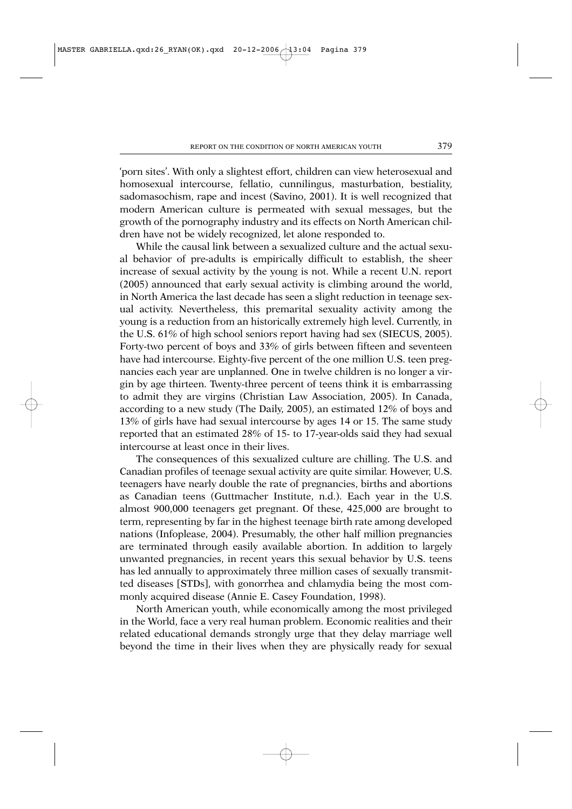'porn sites'. With only a slightest effort, children can view heterosexual and homosexual intercourse, fellatio, cunnilingus, masturbation, bestiality, sadomasochism, rape and incest (Savino, 2001). It is well recognized that modern American culture is permeated with sexual messages, but the growth of the pornography industry and its effects on North American children have not be widely recognized, let alone responded to.

While the causal link between a sexualized culture and the actual sexual behavior of pre-adults is empirically difficult to establish, the sheer increase of sexual activity by the young is not. While a recent U.N. report (2005) announced that early sexual activity is climbing around the world, in North America the last decade has seen a slight reduction in teenage sexual activity. Nevertheless, this premarital sexuality activity among the young is a reduction from an historically extremely high level. Currently, in the U.S. 61% of high school seniors report having had sex (SIECUS, 2005). Forty-two percent of boys and 33% of girls between fifteen and seventeen have had intercourse. Eighty-five percent of the one million U.S. teen pregnancies each year are unplanned. One in twelve children is no longer a virgin by age thirteen. Twenty-three percent of teens think it is embarrassing to admit they are virgins (Christian Law Association, 2005). In Canada, according to a new study (The Daily, 2005), an estimated 12% of boys and 13% of girls have had sexual intercourse by ages 14 or 15. The same study reported that an estimated 28% of 15- to 17-year-olds said they had sexual intercourse at least once in their lives.

The consequences of this sexualized culture are chilling. The U.S. and Canadian profiles of teenage sexual activity are quite similar. However, U.S. teenagers have nearly double the rate of pregnancies, births and abortions as Canadian teens (Guttmacher Institute, n.d.). Each year in the U.S. almost 900,000 teenagers get pregnant. Of these, 425,000 are brought to term, representing by far in the highest teenage birth rate among developed nations (Infoplease, 2004). Presumably, the other half million pregnancies are terminated through easily available abortion. In addition to largely unwanted pregnancies, in recent years this sexual behavior by U.S. teens has led annually to approximately three million cases of sexually transmitted diseases [STDs], with gonorrhea and chlamydia being the most commonly acquired disease (Annie E. Casey Foundation, 1998).

North American youth, while economically among the most privileged in the World, face a very real human problem. Economic realities and their related educational demands strongly urge that they delay marriage well beyond the time in their lives when they are physically ready for sexual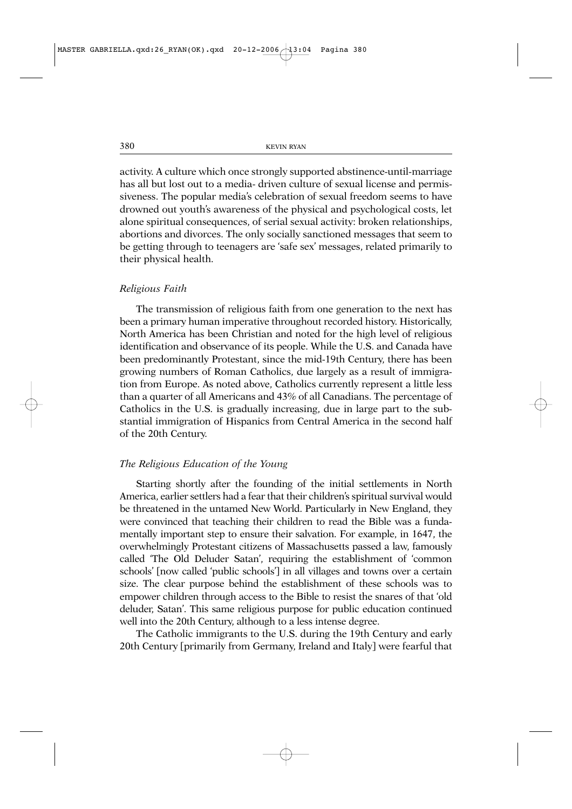activity. A culture which once strongly supported abstinence-until-marriage has all but lost out to a media- driven culture of sexual license and permissiveness. The popular media's celebration of sexual freedom seems to have drowned out youth's awareness of the physical and psychological costs, let alone spiritual consequences, of serial sexual activity: broken relationships, abortions and divorces. The only socially sanctioned messages that seem to be getting through to teenagers are 'safe sex' messages, related primarily to their physical health.

#### *Religious Faith*

The transmission of religious faith from one generation to the next has been a primary human imperative throughout recorded history. Historically, North America has been Christian and noted for the high level of religious identification and observance of its people. While the U.S. and Canada have been predominantly Protestant, since the mid-19th Century, there has been growing numbers of Roman Catholics, due largely as a result of immigration from Europe. As noted above, Catholics currently represent a little less than a quarter of all Americans and 43% of all Canadians. The percentage of Catholics in the U.S. is gradually increasing, due in large part to the substantial immigration of Hispanics from Central America in the second half of the 20th Century.

### *The Religious Education of the Young*

Starting shortly after the founding of the initial settlements in North America, earlier settlers had a fear that their children's spiritual survival would be threatened in the untamed New World. Particularly in New England, they were convinced that teaching their children to read the Bible was a fundamentally important step to ensure their salvation. For example, in 1647, the overwhelmingly Protestant citizens of Massachusetts passed a law, famously called 'The Old Deluder Satan', requiring the establishment of 'common schools' [now called 'public schools'] in all villages and towns over a certain size. The clear purpose behind the establishment of these schools was to empower children through access to the Bible to resist the snares of that 'old deluder, Satan'. This same religious purpose for public education continued well into the 20th Century, although to a less intense degree.

The Catholic immigrants to the U.S. during the 19th Century and early 20th Century [primarily from Germany, Ireland and Italy] were fearful that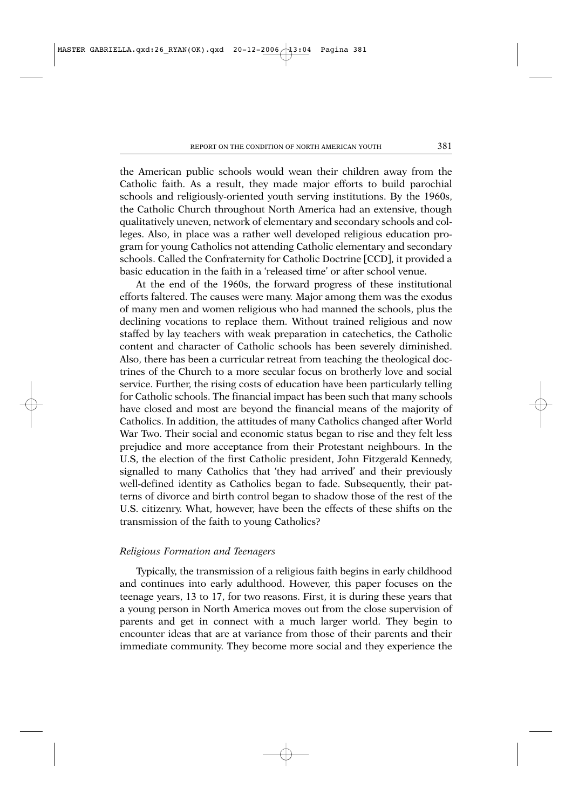the American public schools would wean their children away from the Catholic faith. As a result, they made major efforts to build parochial schools and religiously-oriented youth serving institutions. By the 1960s, the Catholic Church throughout North America had an extensive, though qualitatively uneven, network of elementary and secondary schools and colleges. Also, in place was a rather well developed religious education program for young Catholics not attending Catholic elementary and secondary schools. Called the Confraternity for Catholic Doctrine [CCD], it provided a basic education in the faith in a 'released time' or after school venue.

At the end of the 1960s, the forward progress of these institutional efforts faltered. The causes were many. Major among them was the exodus of many men and women religious who had manned the schools, plus the declining vocations to replace them. Without trained religious and now staffed by lay teachers with weak preparation in catechetics, the Catholic content and character of Catholic schools has been severely diminished. Also, there has been a curricular retreat from teaching the theological doctrines of the Church to a more secular focus on brotherly love and social service. Further, the rising costs of education have been particularly telling for Catholic schools. The financial impact has been such that many schools have closed and most are beyond the financial means of the majority of Catholics. In addition, the attitudes of many Catholics changed after World War Two. Their social and economic status began to rise and they felt less prejudice and more acceptance from their Protestant neighbours. In the U.S, the election of the first Catholic president, John Fitzgerald Kennedy, signalled to many Catholics that 'they had arrived' and their previously well-defined identity as Catholics began to fade. Subsequently, their patterns of divorce and birth control began to shadow those of the rest of the U.S. citizenry. What, however, have been the effects of these shifts on the transmission of the faith to young Catholics?

#### *Religious Formation and Teenagers*

Typically, the transmission of a religious faith begins in early childhood and continues into early adulthood. However, this paper focuses on the teenage years, 13 to 17, for two reasons. First, it is during these years that a young person in North America moves out from the close supervision of parents and get in connect with a much larger world. They begin to encounter ideas that are at variance from those of their parents and their immediate community. They become more social and they experience the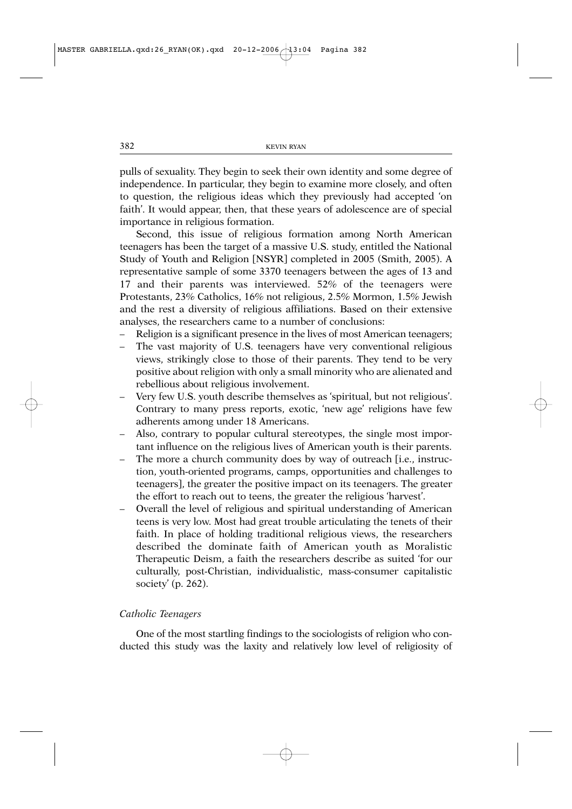pulls of sexuality. They begin to seek their own identity and some degree of independence. In particular, they begin to examine more closely, and often to question, the religious ideas which they previously had accepted 'on faith'. It would appear, then, that these years of adolescence are of special importance in religious formation.

Second, this issue of religious formation among North American teenagers has been the target of a massive U.S. study, entitled the National Study of Youth and Religion [NSYR] completed in 2005 (Smith, 2005). A representative sample of some 3370 teenagers between the ages of 13 and 17 and their parents was interviewed. 52% of the teenagers were Protestants, 23% Catholics, 16% not religious, 2.5% Mormon, 1.5% Jewish and the rest a diversity of religious affiliations. Based on their extensive analyses, the researchers came to a number of conclusions:

- Religion is a significant presence in the lives of most American teenagers;
- The vast majority of U.S. teenagers have very conventional religious views, strikingly close to those of their parents. They tend to be very positive about religion with only a small minority who are alienated and rebellious about religious involvement.
- Very few U.S. youth describe themselves as 'spiritual, but not religious'. Contrary to many press reports, exotic, 'new age' religions have few adherents among under 18 Americans.
- Also, contrary to popular cultural stereotypes, the single most important influence on the religious lives of American youth is their parents.
- The more a church community does by way of outreach [i.e., instruction, youth-oriented programs, camps, opportunities and challenges to teenagers], the greater the positive impact on its teenagers. The greater the effort to reach out to teens, the greater the religious 'harvest'.
- Overall the level of religious and spiritual understanding of American teens is very low. Most had great trouble articulating the tenets of their faith. In place of holding traditional religious views, the researchers described the dominate faith of American youth as Moralistic Therapeutic Deism, a faith the researchers describe as suited 'for our culturally, post-Christian, individualistic, mass-consumer capitalistic society' (p. 262).

### *Catholic Teenagers*

One of the most startling findings to the sociologists of religion who conducted this study was the laxity and relatively low level of religiosity of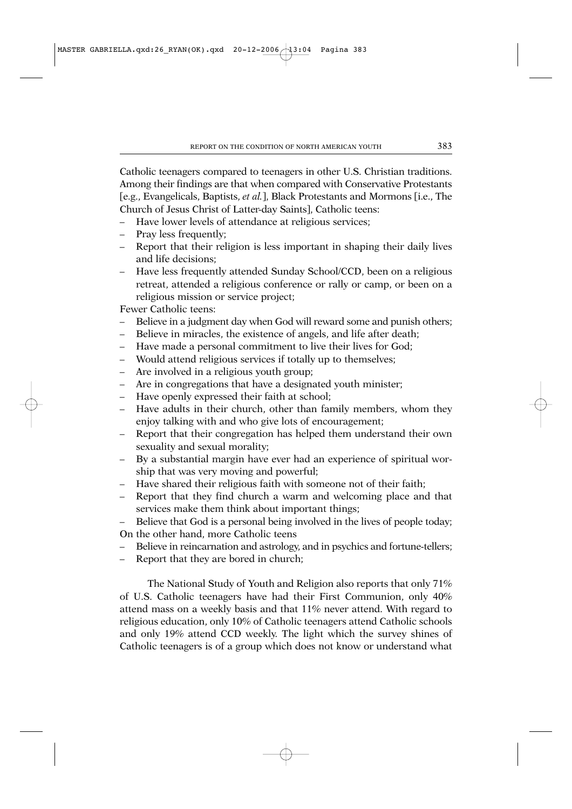Catholic teenagers compared to teenagers in other U.S. Christian traditions. Among their findings are that when compared with Conservative Protestants [e.g., Evangelicals, Baptists, *et al.*], Black Protestants and Mormons [i.e., The Church of Jesus Christ of Latter-day Saints], Catholic teens:

- Have lower levels of attendance at religious services;
- Pray less frequently;
- Report that their religion is less important in shaping their daily lives and life decisions;
- Have less frequently attended Sunday School/CCD, been on a religious retreat, attended a religious conference or rally or camp, or been on a religious mission or service project;

Fewer Catholic teens:

- Believe in a judgment day when God will reward some and punish others;
- Believe in miracles, the existence of angels, and life after death;
- Have made a personal commitment to live their lives for God;
- Would attend religious services if totally up to themselves;
- Are involved in a religious youth group;
- Are in congregations that have a designated youth minister;
- Have openly expressed their faith at school;
- Have adults in their church, other than family members, whom they enjoy talking with and who give lots of encouragement;
- Report that their congregation has helped them understand their own sexuality and sexual morality;
- By a substantial margin have ever had an experience of spiritual worship that was very moving and powerful;
- Have shared their religious faith with someone not of their faith;
- Report that they find church a warm and welcoming place and that services make them think about important things;
- Believe that God is a personal being involved in the lives of people today; On the other hand, more Catholic teens
- Believe in reincarnation and astrology, and in psychics and fortune-tellers;
- Report that they are bored in church;

The National Study of Youth and Religion also reports that only 71% of U.S. Catholic teenagers have had their First Communion, only 40% attend mass on a weekly basis and that 11% never attend. With regard to religious education, only 10% of Catholic teenagers attend Catholic schools and only 19% attend CCD weekly. The light which the survey shines of Catholic teenagers is of a group which does not know or understand what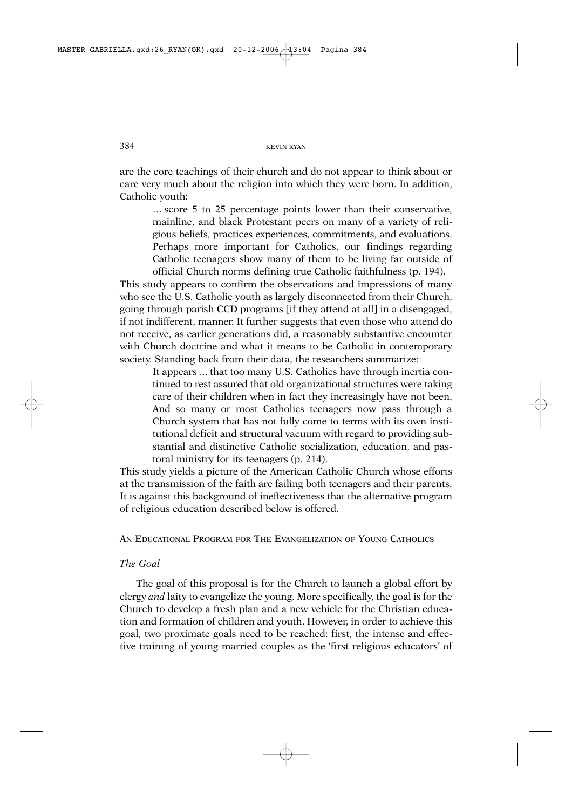are the core teachings of their church and do not appear to think about or care very much about the religion into which they were born. In addition, Catholic youth:

… score 5 to 25 percentage points lower than their conservative, mainline, and black Protestant peers on many of a variety of religious beliefs, practices experiences, commitments, and evaluations. Perhaps more important for Catholics, our findings regarding Catholic teenagers show many of them to be living far outside of official Church norms defining true Catholic faithfulness (p. 194).

This study appears to confirm the observations and impressions of many who see the U.S. Catholic youth as largely disconnected from their Church, going through parish CCD programs [if they attend at all] in a disengaged, if not indifferent, manner. It further suggests that even those who attend do not receive, as earlier generations did, a reasonably substantive encounter with Church doctrine and what it means to be Catholic in contemporary society. Standing back from their data, the researchers summarize:

It appears … that too many U.S. Catholics have through inertia continued to rest assured that old organizational structures were taking care of their children when in fact they increasingly have not been. And so many or most Catholics teenagers now pass through a Church system that has not fully come to terms with its own institutional deficit and structural vacuum with regard to providing substantial and distinctive Catholic socialization, education, and pastoral ministry for its teenagers (p. 214).

This study yields a picture of the American Catholic Church whose efforts at the transmission of the faith are failing both teenagers and their parents. It is against this background of ineffectiveness that the alternative program of religious education described below is offered.

AN EDUCATIONAL PROGRAM FOR THE EVANGELIZATION OF YOUNG CATHOLICS

### *The Goal*

The goal of this proposal is for the Church to launch a global effort by clergy *and* laity to evangelize the young. More specifically, the goal is for the Church to develop a fresh plan and a new vehicle for the Christian education and formation of children and youth. However, in order to achieve this goal, two proximate goals need to be reached: first, the intense and effective training of young married couples as the 'first religious educators' of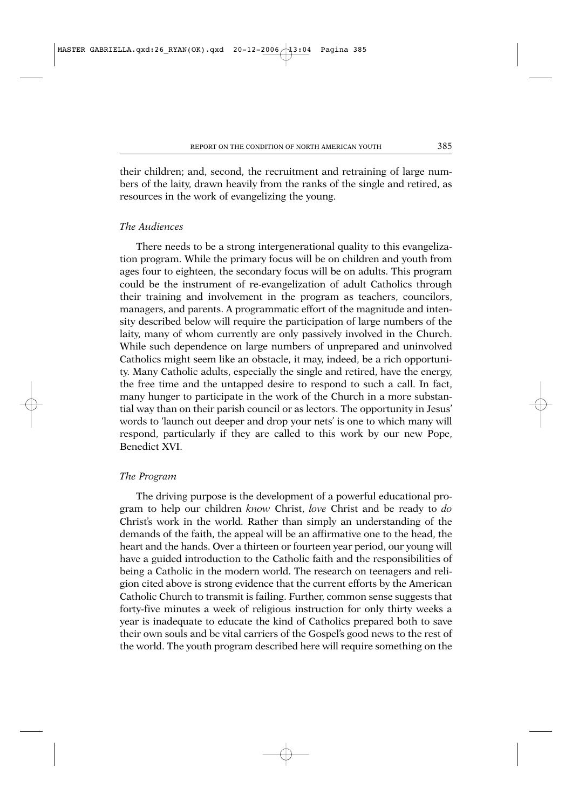their children; and, second, the recruitment and retraining of large numbers of the laity, drawn heavily from the ranks of the single and retired, as resources in the work of evangelizing the young.

# *The Audiences*

There needs to be a strong intergenerational quality to this evangelization program. While the primary focus will be on children and youth from ages four to eighteen, the secondary focus will be on adults. This program could be the instrument of re-evangelization of adult Catholics through their training and involvement in the program as teachers, councilors, managers, and parents. A programmatic effort of the magnitude and intensity described below will require the participation of large numbers of the laity, many of whom currently are only passively involved in the Church. While such dependence on large numbers of unprepared and uninvolved Catholics might seem like an obstacle, it may, indeed, be a rich opportunity. Many Catholic adults, especially the single and retired, have the energy, the free time and the untapped desire to respond to such a call. In fact, many hunger to participate in the work of the Church in a more substantial way than on their parish council or as lectors. The opportunity in Jesus' words to 'launch out deeper and drop your nets' is one to which many will respond, particularly if they are called to this work by our new Pope, Benedict XVI.

### *The Program*

The driving purpose is the development of a powerful educational program to help our children *know* Christ, *love* Christ and be ready to *do* Christ's work in the world. Rather than simply an understanding of the demands of the faith, the appeal will be an affirmative one to the head, the heart and the hands. Over a thirteen or fourteen year period, our young will have a guided introduction to the Catholic faith and the responsibilities of being a Catholic in the modern world. The research on teenagers and religion cited above is strong evidence that the current efforts by the American Catholic Church to transmit is failing. Further, common sense suggests that forty-five minutes a week of religious instruction for only thirty weeks a year is inadequate to educate the kind of Catholics prepared both to save their own souls and be vital carriers of the Gospel's good news to the rest of the world. The youth program described here will require something on the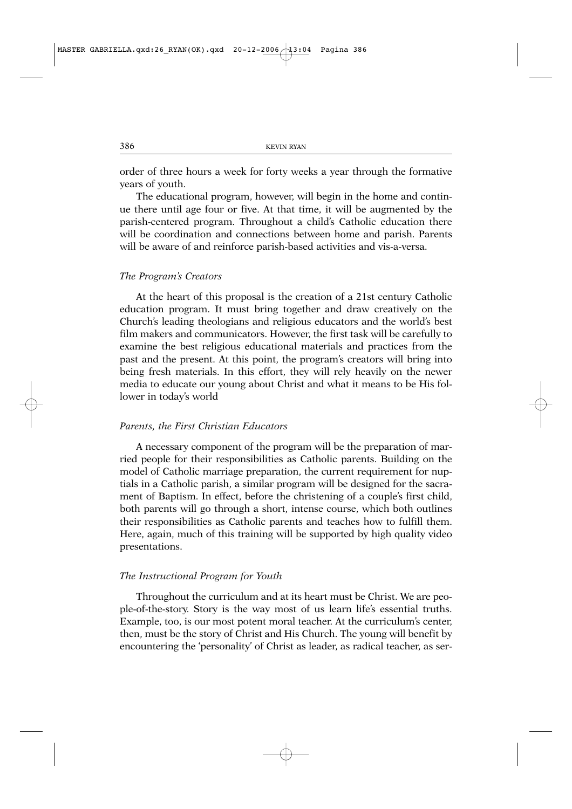order of three hours a week for forty weeks a year through the formative years of youth.

The educational program, however, will begin in the home and continue there until age four or five. At that time, it will be augmented by the parish-centered program. Throughout a child's Catholic education there will be coordination and connections between home and parish. Parents will be aware of and reinforce parish-based activities and vis-a-versa.

#### *The Program's Creators*

At the heart of this proposal is the creation of a 21st century Catholic education program. It must bring together and draw creatively on the Church's leading theologians and religious educators and the world's best film makers and communicators. However, the first task will be carefully to examine the best religious educational materials and practices from the past and the present. At this point, the program's creators will bring into being fresh materials. In this effort, they will rely heavily on the newer media to educate our young about Christ and what it means to be His follower in today's world

#### *Parents, the First Christian Educators*

A necessary component of the program will be the preparation of married people for their responsibilities as Catholic parents. Building on the model of Catholic marriage preparation, the current requirement for nuptials in a Catholic parish, a similar program will be designed for the sacrament of Baptism. In effect, before the christening of a couple's first child, both parents will go through a short, intense course, which both outlines their responsibilities as Catholic parents and teaches how to fulfill them. Here, again, much of this training will be supported by high quality video presentations.

#### *The Instructional Program for Youth*

Throughout the curriculum and at its heart must be Christ. We are people-of-the-story. Story is the way most of us learn life's essential truths. Example, too, is our most potent moral teacher. At the curriculum's center, then, must be the story of Christ and His Church. The young will benefit by encountering the 'personality' of Christ as leader, as radical teacher, as ser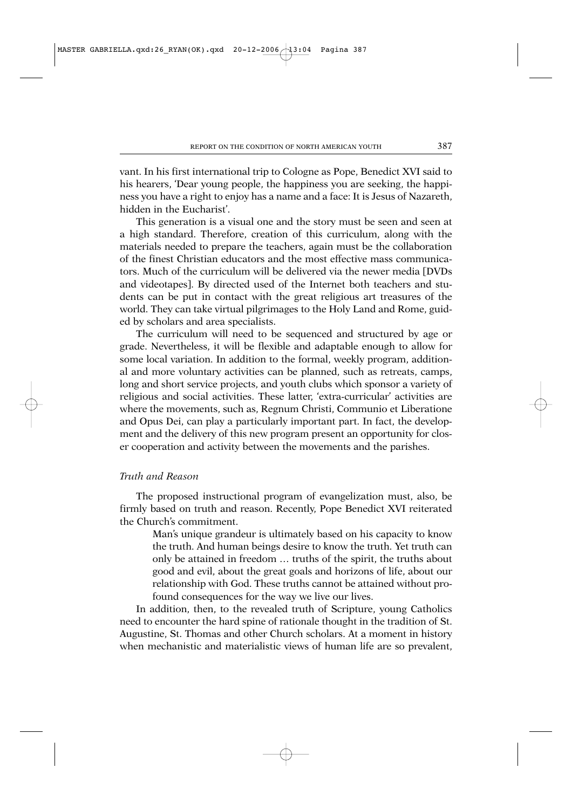vant. In his first international trip to Cologne as Pope, Benedict XVI said to his hearers, 'Dear young people, the happiness you are seeking, the happiness you have a right to enjoy has a name and a face: It is Jesus of Nazareth, hidden in the Eucharist'.

This generation is a visual one and the story must be seen and seen at a high standard. Therefore, creation of this curriculum, along with the materials needed to prepare the teachers, again must be the collaboration of the finest Christian educators and the most effective mass communicators. Much of the curriculum will be delivered via the newer media [DVDs and videotapes]. By directed used of the Internet both teachers and students can be put in contact with the great religious art treasures of the world. They can take virtual pilgrimages to the Holy Land and Rome, guided by scholars and area specialists.

The curriculum will need to be sequenced and structured by age or grade. Nevertheless, it will be flexible and adaptable enough to allow for some local variation. In addition to the formal, weekly program, additional and more voluntary activities can be planned, such as retreats, camps, long and short service projects, and youth clubs which sponsor a variety of religious and social activities. These latter, 'extra-curricular' activities are where the movements, such as, Regnum Christi, Communio et Liberatione and Opus Dei, can play a particularly important part. In fact, the development and the delivery of this new program present an opportunity for closer cooperation and activity between the movements and the parishes.

# *Truth and Reason*

The proposed instructional program of evangelization must, also, be firmly based on truth and reason. Recently, Pope Benedict XVI reiterated the Church's commitment.

Man's unique grandeur is ultimately based on his capacity to know the truth. And human beings desire to know the truth. Yet truth can only be attained in freedom … truths of the spirit, the truths about good and evil, about the great goals and horizons of life, about our relationship with God. These truths cannot be attained without profound consequences for the way we live our lives.

In addition, then, to the revealed truth of Scripture, young Catholics need to encounter the hard spine of rationale thought in the tradition of St. Augustine, St. Thomas and other Church scholars. At a moment in history when mechanistic and materialistic views of human life are so prevalent,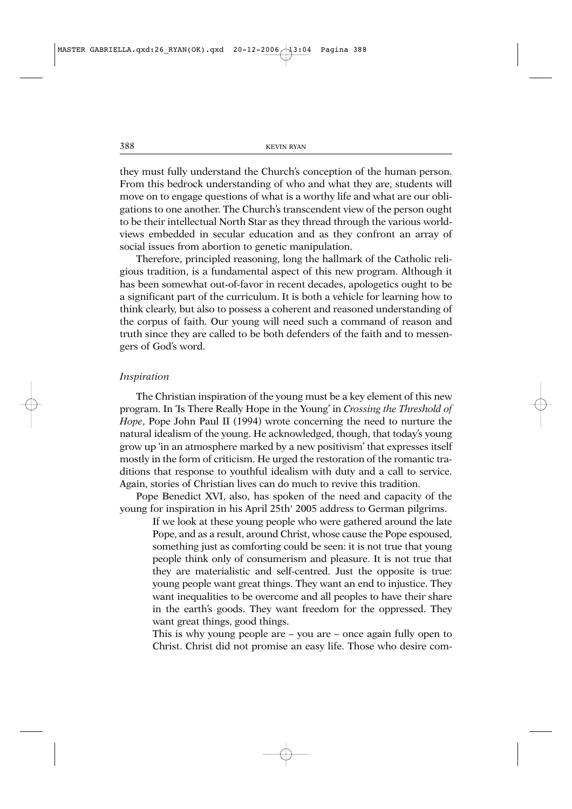they must fully understand the Church's conception of the human person. From this bedrock understanding of who and what they are, students will move on to engage questions of what is a worthy life and what are our obligations to one another. The Church's transcendent view of the person ought to be their intellectual North Star as they thread through the various worldviews embedded in secular education and as they confront an array of social issues from abortion to genetic manipulation.

Therefore, principled reasoning, long the hallmark of the Catholic religious tradition, is a fundamental aspect of this new program. Although it has been somewhat out-of-favor in recent decades, apologetics ought to be a significant part of the curriculum. It is both a vehicle for learning how to think clearly, but also to possess a coherent and reasoned understanding of the corpus of faith. Our young will need such a command of reason and truth since they are called to be both defenders of the faith and to messengers of God's word.

#### *Inspiration*

The Christian inspiration of the young must be a key element of this new program. In 'Is There Really Hope in the Young' in *Crossing the Threshold of Hope*, Pope John Paul II (1994) wrote concerning the need to nurture the natural idealism of the young. He acknowledged, though, that today's young grow up 'in an atmosphere marked by a new positivism' that expresses itself mostly in the form of criticism. He urged the restoration of the romantic traditions that response to youthful idealism with duty and a call to service. Again, stories of Christian lives can do much to revive this tradition.

Pope Benedict XVI, also, has spoken of the need and capacity of the young for inspiration in his April 25th' 2005 address to German pilgrims.

If we look at these young people who were gathered around the late Pope, and as a result, around Christ, whose cause the Pope espoused, something just as comforting could be seen: it is not true that young people think only of consumerism and pleasure. It is not true that they are materialistic and self-centred. Just the opposite is true: young people want great things. They want an end to injustice. They want inequalities to be overcome and all peoples to have their share in the earth's goods. They want freedom for the oppressed. They want great things, good things.

This is why young people are – you are – once again fully open to Christ. Christ did not promise an easy life. Those who desire com-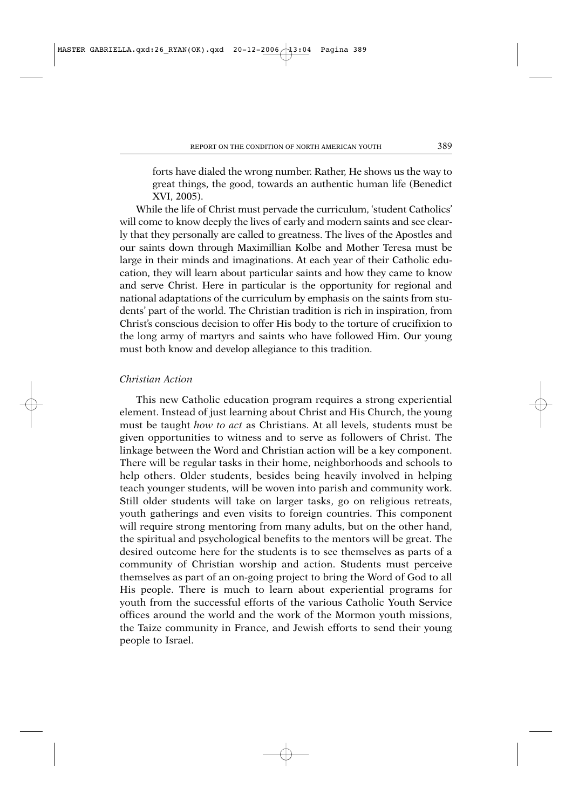forts have dialed the wrong number. Rather, He shows us the way to great things, the good, towards an authentic human life (Benedict XVI, 2005).

While the life of Christ must pervade the curriculum, 'student Catholics' will come to know deeply the lives of early and modern saints and see clearly that they personally are called to greatness. The lives of the Apostles and our saints down through Maximillian Kolbe and Mother Teresa must be large in their minds and imaginations. At each year of their Catholic education, they will learn about particular saints and how they came to know and serve Christ. Here in particular is the opportunity for regional and national adaptations of the curriculum by emphasis on the saints from students' part of the world. The Christian tradition is rich in inspiration, from Christ's conscious decision to offer His body to the torture of crucifixion to the long army of martyrs and saints who have followed Him. Our young must both know and develop allegiance to this tradition.

# *Christian Action*

This new Catholic education program requires a strong experiential element. Instead of just learning about Christ and His Church, the young must be taught *how to act* as Christians. At all levels, students must be given opportunities to witness and to serve as followers of Christ. The linkage between the Word and Christian action will be a key component. There will be regular tasks in their home, neighborhoods and schools to help others. Older students, besides being heavily involved in helping teach younger students, will be woven into parish and community work. Still older students will take on larger tasks, go on religious retreats, youth gatherings and even visits to foreign countries. This component will require strong mentoring from many adults, but on the other hand, the spiritual and psychological benefits to the mentors will be great. The desired outcome here for the students is to see themselves as parts of a community of Christian worship and action. Students must perceive themselves as part of an on-going project to bring the Word of God to all His people. There is much to learn about experiential programs for youth from the successful efforts of the various Catholic Youth Service offices around the world and the work of the Mormon youth missions, the Taize community in France, and Jewish efforts to send their young people to Israel.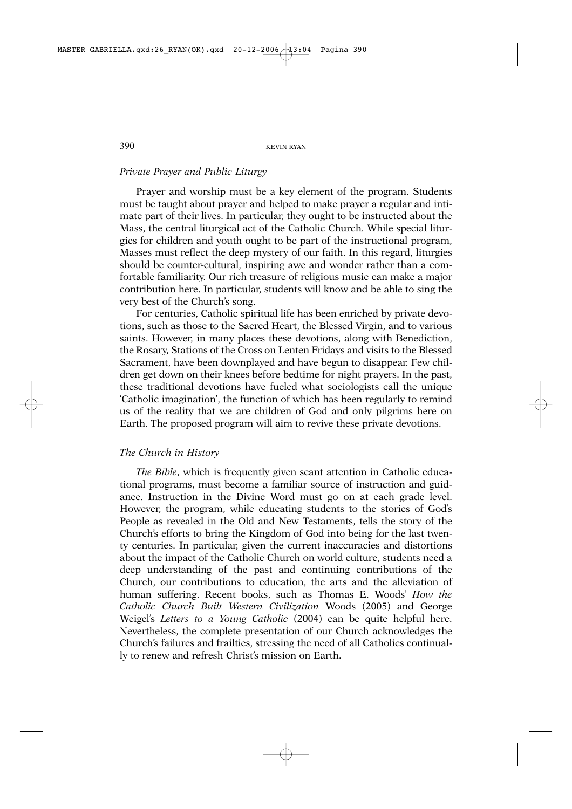# *Private Prayer and Public Liturgy*

Prayer and worship must be a key element of the program. Students must be taught about prayer and helped to make prayer a regular and intimate part of their lives. In particular, they ought to be instructed about the Mass, the central liturgical act of the Catholic Church. While special liturgies for children and youth ought to be part of the instructional program, Masses must reflect the deep mystery of our faith. In this regard, liturgies should be counter-cultural, inspiring awe and wonder rather than a comfortable familiarity. Our rich treasure of religious music can make a major contribution here. In particular, students will know and be able to sing the very best of the Church's song.

For centuries, Catholic spiritual life has been enriched by private devotions, such as those to the Sacred Heart, the Blessed Virgin, and to various saints. However, in many places these devotions, along with Benediction, the Rosary, Stations of the Cross on Lenten Fridays and visits to the Blessed Sacrament, have been downplayed and have begun to disappear. Few children get down on their knees before bedtime for night prayers. In the past, these traditional devotions have fueled what sociologists call the unique 'Catholic imagination', the function of which has been regularly to remind us of the reality that we are children of God and only pilgrims here on Earth. The proposed program will aim to revive these private devotions.

#### *The Church in History*

*The Bible*, which is frequently given scant attention in Catholic educational programs, must become a familiar source of instruction and guidance. Instruction in the Divine Word must go on at each grade level. However, the program, while educating students to the stories of God's People as revealed in the Old and New Testaments, tells the story of the Church's efforts to bring the Kingdom of God into being for the last twenty centuries. In particular, given the current inaccuracies and distortions about the impact of the Catholic Church on world culture, students need a deep understanding of the past and continuing contributions of the Church, our contributions to education, the arts and the alleviation of human suffering. Recent books, such as Thomas E. Woods' *How the Catholic Church Built Western Civilization* Woods (2005) and George Weigel's *Letters to a Young Catholic* (2004) can be quite helpful here. Nevertheless, the complete presentation of our Church acknowledges the Church's failures and frailties, stressing the need of all Catholics continually to renew and refresh Christ's mission on Earth.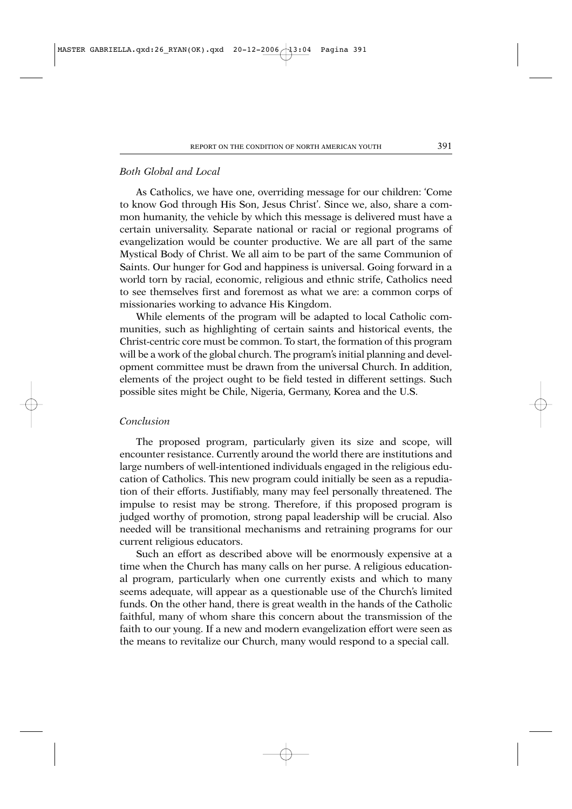# *Both Global and Local*

As Catholics, we have one, overriding message for our children: 'Come to know God through His Son, Jesus Christ'. Since we, also, share a common humanity, the vehicle by which this message is delivered must have a certain universality. Separate national or racial or regional programs of evangelization would be counter productive. We are all part of the same Mystical Body of Christ. We all aim to be part of the same Communion of Saints. Our hunger for God and happiness is universal. Going forward in a world torn by racial, economic, religious and ethnic strife, Catholics need to see themselves first and foremost as what we are: a common corps of missionaries working to advance His Kingdom.

While elements of the program will be adapted to local Catholic communities, such as highlighting of certain saints and historical events, the Christ-centric core must be common. To start, the formation of this program will be a work of the global church. The program's initial planning and development committee must be drawn from the universal Church. In addition, elements of the project ought to be field tested in different settings. Such possible sites might be Chile, Nigeria, Germany, Korea and the U.S.

# *Conclusion*

The proposed program, particularly given its size and scope, will encounter resistance. Currently around the world there are institutions and large numbers of well-intentioned individuals engaged in the religious education of Catholics. This new program could initially be seen as a repudiation of their efforts. Justifiably, many may feel personally threatened. The impulse to resist may be strong. Therefore, if this proposed program is judged worthy of promotion, strong papal leadership will be crucial. Also needed will be transitional mechanisms and retraining programs for our current religious educators.

Such an effort as described above will be enormously expensive at a time when the Church has many calls on her purse. A religious educational program, particularly when one currently exists and which to many seems adequate, will appear as a questionable use of the Church's limited funds. On the other hand, there is great wealth in the hands of the Catholic faithful, many of whom share this concern about the transmission of the faith to our young. If a new and modern evangelization effort were seen as the means to revitalize our Church, many would respond to a special call.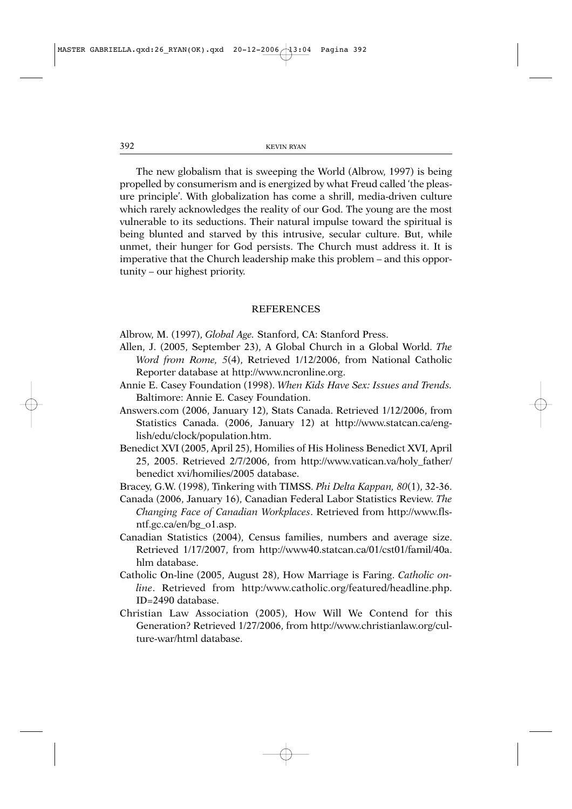The new globalism that is sweeping the World (Albrow, 1997) is being propelled by consumerism and is energized by what Freud called 'the pleasure principle'. With globalization has come a shrill, media-driven culture which rarely acknowledges the reality of our God. The young are the most vulnerable to its seductions. Their natural impulse toward the spiritual is being blunted and starved by this intrusive, secular culture. But, while unmet, their hunger for God persists. The Church must address it. It is imperative that the Church leadership make this problem – and this opportunity – our highest priority.

# **REFERENCES**

Albrow, M. (1997), *Global Age.* Stanford, CA: Stanford Press.

- Allen, J. (2005, September 23), A Global Church in a Global World. *The Word from Rome, 5*(4), Retrieved 1/12/2006, from National Catholic Reporter database at http://www.ncronline.org.
- Annie E. Casey Foundation (1998). *When Kids Have Sex: Issues and Trends.* Baltimore: Annie E. Casey Foundation.
- Answers.com (2006, January 12), Stats Canada. Retrieved 1/12/2006, from Statistics Canada. (2006, January 12) at http://www.statcan.ca/english/edu/clock/population.htm.
- Benedict XVI (2005, April 25), Homilies of His Holiness Benedict XVI, April 25, 2005. Retrieved 2/7/2006, from http://www.vatican.va/holy\_father/ benedict xvi/homilies/2005 database.
- Bracey, G.W. (1998), Tinkering with TIMSS. *Phi Delta Kappan, 80*(1), 32-36.
- Canada (2006, January 16), Canadian Federal Labor Statistics Review. *The Changing Face of Canadian Workplaces*. Retrieved from http://www.flsntf.gc.ca/en/bg\_o1.asp.
- Canadian Statistics (2004), Census families, numbers and average size. Retrieved 1/17/2007, from http://www40.statcan.ca/01/cst01/famil/40a. hlm database.
- Catholic On-line (2005, August 28), How Marriage is Faring. *Catholic online*. Retrieved from http:/www.catholic.org/featured/headline.php. ID=2490 database.
- Christian Law Association (2005), How Will We Contend for this Generation? Retrieved 1/27/2006, from http://www.christianlaw.org/culture-war/html database.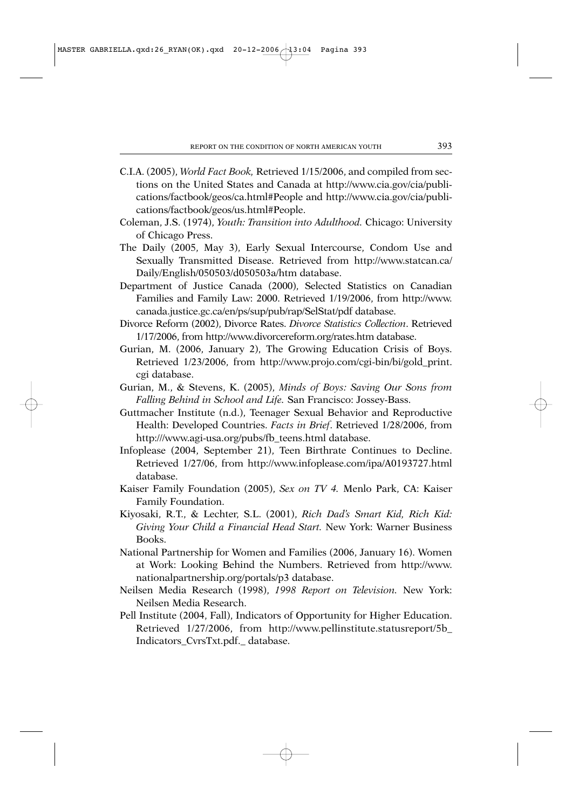- C.I.A. (2005), *World Fact Book,* Retrieved 1/15/2006, and compiled from sections on the United States and Canada at http://www.cia.gov/cia/publications/factbook/geos/ca.html#People and http://www.cia.gov/cia/publications/factbook/geos/us.html#People.
- Coleman, J.S. (1974), *Youth: Transition into Adulthood.* Chicago: University of Chicago Press.
- The Daily (2005, May 3), Early Sexual Intercourse, Condom Use and Sexually Transmitted Disease. Retrieved from http://www.statcan.ca/ Daily/English/050503/d050503a/htm database.
- Department of Justice Canada (2000), Selected Statistics on Canadian Families and Family Law: 2000. Retrieved 1/19/2006, from http://www. canada.justice.gc.ca/en/ps/sup/pub/rap/SelStat/pdf database.
- Divorce Reform (2002), Divorce Rates. *Divorce Statistics Collection*. Retrieved 1/17/2006, from http://www.divorcereform.org/rates.htm database.
- Gurian, M. (2006, January 2), The Growing Education Crisis of Boys. Retrieved 1/23/2006, from http://www.projo.com/cgi-bin/bi/gold\_print. cgi database.
- Gurian, M., & Stevens, K. (2005), *Minds of Boys: Saving Our Sons from Falling Behind in School and Life.* San Francisco: Jossey-Bass.
- Guttmacher Institute (n.d.), Teenager Sexual Behavior and Reproductive Health: Developed Countries. *Facts in Brief*. Retrieved 1/28/2006, from http:///www.agi-usa.org/pubs/fb\_teens.html database.
- Infoplease (2004, September 21), Teen Birthrate Continues to Decline. Retrieved 1/27/06, from http://www.infoplease.com/ipa/A0193727.html database.
- Kaiser Family Foundation (2005), *Sex on TV 4.* Menlo Park, CA: Kaiser Family Foundation.
- Kiyosaki, R.T., & Lechter, S.L. (2001), *Rich Dad's Smart Kid, Rich Kid: Giving Your Child a Financial Head Start.* New York: Warner Business Books.
- National Partnership for Women and Families (2006, January 16). Women at Work: Looking Behind the Numbers. Retrieved from http://www. nationalpartnership.org/portals/p3 database.
- Neilsen Media Research (1998), *1998 Report on Television.* New York: Neilsen Media Research.
- Pell Institute (2004, Fall), Indicators of Opportunity for Higher Education. Retrieved 1/27/2006, from http://www.pellinstitute.statusreport/5b\_ Indicators\_CvrsTxt.pdf.\_ database.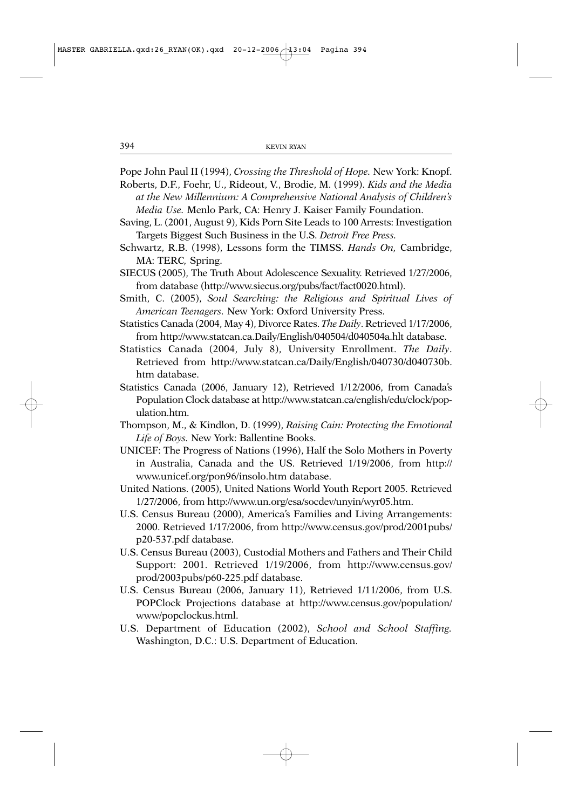Pope John Paul II (1994), *Crossing the Threshold of Hope.* New York: Knopf.

Roberts, D.F., Foehr, U., Rideout, V., Brodie, M. (1999). *Kids and the Media at the New Millennium: A Comprehensive National Analysis of Children's Media Use.* Menlo Park, CA: Henry J. Kaiser Family Foundation.

Saving, L. (2001, August 9), Kids Porn Site Leads to 100 Arrests: Investigation Targets Biggest Such Business in the U.S. *Detroit Free Press.*

Schwartz, R.B. (1998), Lessons form the TIMSS. *Hands On,* Cambridge, MA: TERC*,* Spring.

- SIECUS (2005), The Truth About Adolescence Sexuality. Retrieved 1/27/2006, from database (http://www.siecus.org/pubs/fact/fact0020.html).
- Smith, C. (2005), *Soul Searching: the Religious and Spiritual Lives of American Teenagers.* New York: Oxford University Press.
- Statistics Canada (2004, May 4), Divorce Rates. *The Daily*. Retrieved 1/17/2006, from http://www.statcan.ca.Daily/English/040504/d040504a.hlt database.
- Statistics Canada (2004, July 8), University Enrollment. *The Daily*. Retrieved from http://www.statcan.ca/Daily/English/040730/d040730b. htm database.
- Statistics Canada (2006, January 12), Retrieved 1/12/2006, from Canada's Population Clock database at http://www.statcan.ca/english/edu/clock/population.htm.
- Thompson, M., & Kindlon, D. (1999), *Raising Cain: Protecting the Emotional Life of Boys.* New York: Ballentine Books.
- UNICEF: The Progress of Nations (1996), Half the Solo Mothers in Poverty in Australia, Canada and the US. Retrieved 1/19/2006, from http:// www.unicef.org/pon96/insolo.htm database.
- United Nations. (2005), United Nations World Youth Report 2005. Retrieved 1/27/2006, from http://www.un.org/esa/socdev/unyin/wyr05.htm.
- U.S. Census Bureau (2000), America's Families and Living Arrangements: 2000. Retrieved 1/17/2006, from http://www.census.gov/prod/2001pubs/ p20-537.pdf database.
- U.S. Census Bureau (2003), Custodial Mothers and Fathers and Their Child Support: 2001. Retrieved 1/19/2006, from http://www.census.gov/ prod/2003pubs/p60-225.pdf database.
- U.S. Census Bureau (2006, January 11), Retrieved 1/11/2006, from U.S. POPClock Projections database at http://www.census.gov/population/ www/popclockus.html.
- U.S. Department of Education (2002), *School and School Staffing.* Washington, D.C.: U.S. Department of Education.